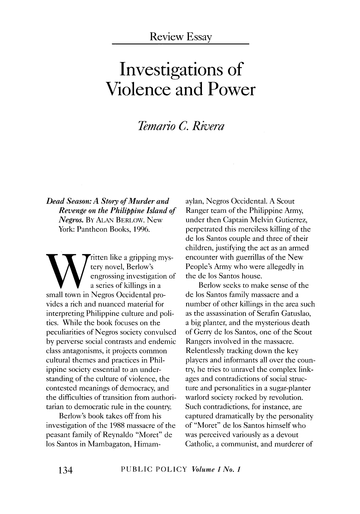### Review Essay

# **Investigations of Violence and Power**

## *Temario C. Rivera*

*Dead Season: A Story of Murder and Revenge on the Philippine Island of Negros.* BY ALAN BERLOW. New York: Pantheon Books, 1996.

Witten like a gripping mys-<br>
engrossing investigation of<br>
a series of killings in a<br>
small town in Negros Occidental protery novel, Berlow's engrossing investigation of a series of killings in a vides a rich and nuanced material for interpreting Philippine culture and politics. While the book focuses on the peculiarities of Negros society convulsed by perverse social contrasts and endemic class antagonisms, it projects common cultural themes and practices in Philippine society essential to an understanding of the culture of violence, the contested meanings of democracy, and the difficulties of transition from authoritarian to democratic rule in the country.

Berlow's book takes off from his investigation of the 1988 massacre of the peasant family of Reynaldo "Moret" de los Santos in Mambagaton, Himamaylan, Negros Occidental. A Scout Ranger team of the Philippine Army, under then Captain Melvin Gutierrez, perpetrated this merciless killing of the de los Santos couple and three of their children, justifying the act as an armed encounter with guerrillas of the New People's Army who were allegedly in the de los Santos house.

Berlow seeks to make sense of the de los Santos family massacre and a number of other killings in the area such as the assassination of Serafin Gatuslao, a big planter, and the mysterious death of Gerry de los Santos, one of the Scout Rangers involved in the massacre. Relentlessly tracking down the key players and informants all over the country, he tries to unravel the complex linkages and contradictions of social structure and personalities in a sugar-planter warlord society rocked by revolution. Such contradictions, for instance, are captured dramatically by the personality of "Moret" de los Santos himself who was perceived variously as a devout Catholic, a communist, and murderer of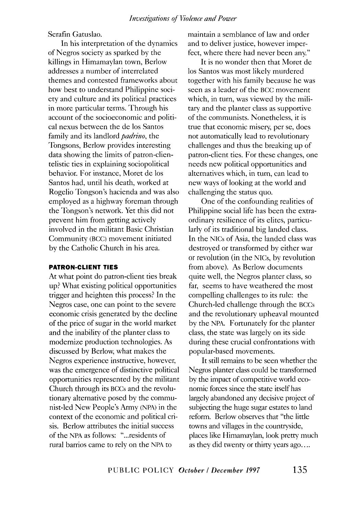Serafin Gatuslao.

In his interpretation of the dynamics ofNegros society as sparked by the killings in Himamaylan town, Berlow addresses a number of interrelated themes and contested frameworks about how best to understand Philippine society and culture and its political practices in more particular terms. Through his account of the socioeconomic and political nexus between the de los Santos family and its landlord *padrino,* the Tongsons, Berlow provides interesting data showing the limits of patron-clientelistic ties in explaining sociopolitical behavior. For instance, Moret de los Santos had, until his death, worked at Rogelio Tongson's hacienda and was also employed as a highway foreman through the Tongson's network. Yet this did not prevent him from getting actively involved in the militant Basic Christian Community (BCC) movement initiated by the Catholic Church in his area.

#### **PATRON-CLIENT TIES**

At what point do patron-client ties break up? What existing political opportunities trigger and heighten this process? In the Negros case, one can point to the severe economic crisis generated by the decline of the price of sugar in the world market and the inability of the planter class to modernize production technologies. As discussed by Berlow, what makes the Negros experience instructive, however, was the emergence of distinctive political opportunities represented by the militant Church through its BCCs and the revolutionary alternative posed by the communist-led New People's Army (NPA) in the context of the economic and political crisis. Berlow attributes the initial success of the NPA as follows: "... residents of rural barrios came to rely on the NPA to

maintain a semblance of law and order and to deliver justice, however imperfect, where there had never been any."

It is no wonder then that Moret de los Santos was most likely murdered together with his family because he was seen as a leader of the BCC movement which, in turn, was viewed by the military and the planter class as supportive of the communists. Nonetheless, it is true that economic misery, per se, does not automatically lead to revolutionary challenges and thus the breaking up of patron-client ties. For these changes, one needs new political opportunities and alternatives which, in turn, can lead to new ways of looking at the world and challenging the status quo.

One of the confounding realities of Philippine social life has been the extraordinary resilience of its elites, particularly of its traditional big landed class. In the NICs of Asia, the landed class was destroyed or transformed by either war or revolution (in the NICs, by revolution from above). As Berlow documents quite well, the Negros planter class, so far, seems to have weathered the most compelling challenges to its rule: the Church-led challenge through the BCCs and the revolutionary upheaval mounted by the NPA. Fortunately for the planter class, the state was largely on its side during these crucial confrontations with popular-based movements.

It still remains to be seen whether the Negros planter class could be transformed by the impact of competitive world economic forces since the state itself has largely abandoned any decisive project of subjecting the huge sugar estates to land reform. Berlow observes that "the little towns and villages in the countryside, places like Himamaylan, look pretty much as they did twenty or thirty years ago....